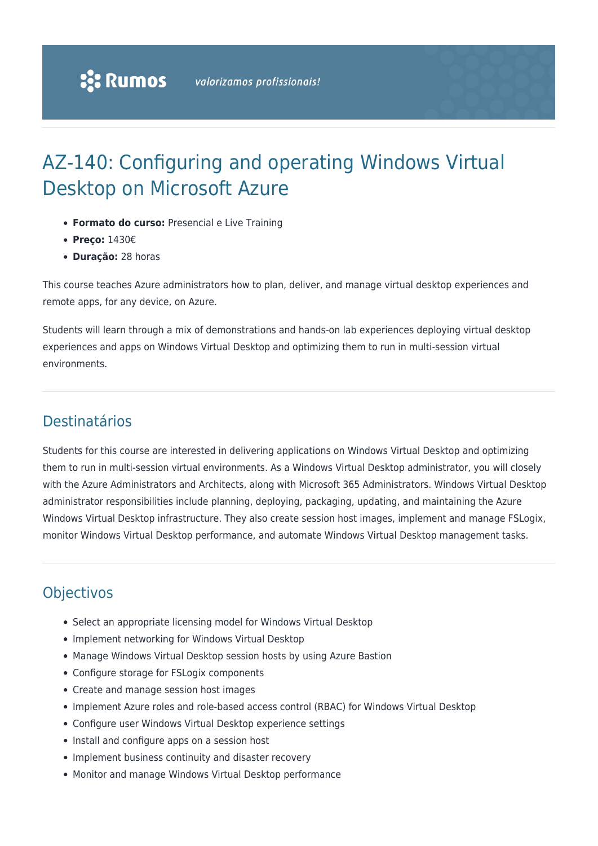# AZ-140: Configuring and operating Windows Virtual Desktop on Microsoft Azure

- **Formato do curso:** Presencial e Live Training
- **Preço:** 1430€
- **Duração:** 28 horas

This course teaches Azure administrators how to plan, deliver, and manage virtual desktop experiences and remote apps, for any device, on Azure.

Students will learn through a mix of demonstrations and hands-on lab experiences deploying virtual desktop experiences and apps on Windows Virtual Desktop and optimizing them to run in multi-session virtual environments.

# Destinatários

Students for this course are interested in delivering applications on Windows Virtual Desktop and optimizing them to run in multi-session virtual environments. As a Windows Virtual Desktop administrator, you will closely with the Azure Administrators and Architects, along with Microsoft 365 Administrators. Windows Virtual Desktop administrator responsibilities include planning, deploying, packaging, updating, and maintaining the Azure Windows Virtual Desktop infrastructure. They also create session host images, implement and manage FSLogix, monitor Windows Virtual Desktop performance, and automate Windows Virtual Desktop management tasks.

# **Objectivos**

- Select an appropriate licensing model for Windows Virtual Desktop
- Implement networking for Windows Virtual Desktop
- Manage Windows Virtual Desktop session hosts by using Azure Bastion
- Configure storage for FSLogix components
- Create and manage session host images
- Implement Azure roles and role-based access control (RBAC) for Windows Virtual Desktop
- Configure user Windows Virtual Desktop experience settings
- Install and configure apps on a session host
- Implement business continuity and disaster recovery
- Monitor and manage Windows Virtual Desktop performance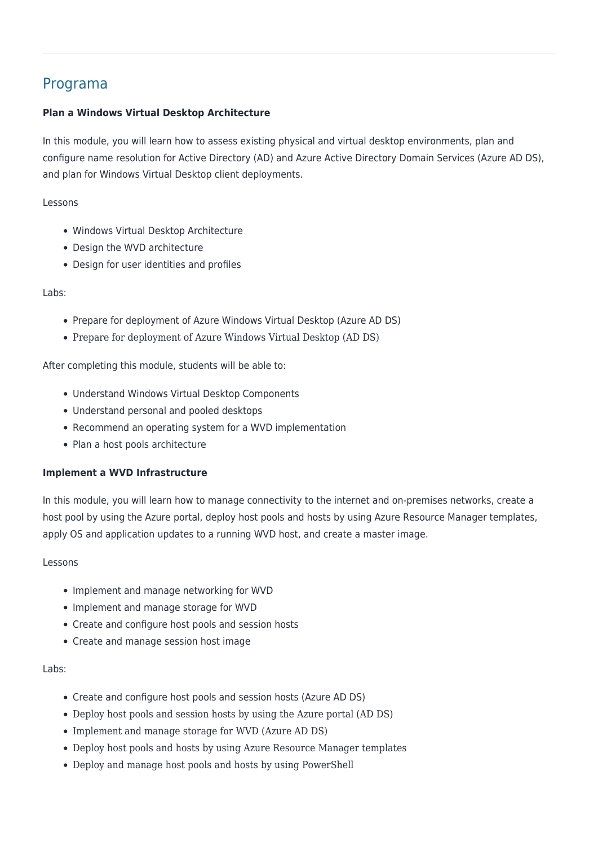## Programa

### **Plan a Windows Virtual Desktop Architecture**

In this module, you will learn how to assess existing physical and virtual desktop environments, plan and configure name resolution for Active Directory (AD) and Azure Active Directory Domain Services (Azure AD DS), and plan for Windows Virtual Desktop client deployments.

Lessons

- Windows Virtual Desktop Architecture
- Design the WVD architecture
- Design for user identities and profiles

#### Labs:

- Prepare for deployment of Azure Windows Virtual Desktop (Azure AD DS)
- Prepare for deployment of Azure Windows Virtual Desktop (AD DS)

After completing this module, students will be able to:

- Understand Windows Virtual Desktop Components
- Understand personal and pooled desktops
- Recommend an operating system for a WVD implementation
- Plan a host pools architecture

### **Implement a WVD Infrastructure**

In this module, you will learn how to manage connectivity to the internet and on-premises networks, create a host pool by using the Azure portal, deploy host pools and hosts by using Azure Resource Manager templates, apply OS and application updates to a running WVD host, and create a master image.

#### Lessons

- Implement and manage networking for WVD
- Implement and manage storage for WVD
- Create and configure host pools and session hosts
- Create and manage session host image

#### Labs:

- Create and configure host pools and session hosts (Azure AD DS)
- Deploy host pools and session hosts by using the Azure portal (AD DS)
- Implement and manage storage for WVD (Azure AD DS)
- Deploy host pools and hosts by using Azure Resource Manager templates
- Deploy and manage host pools and hosts by using PowerShell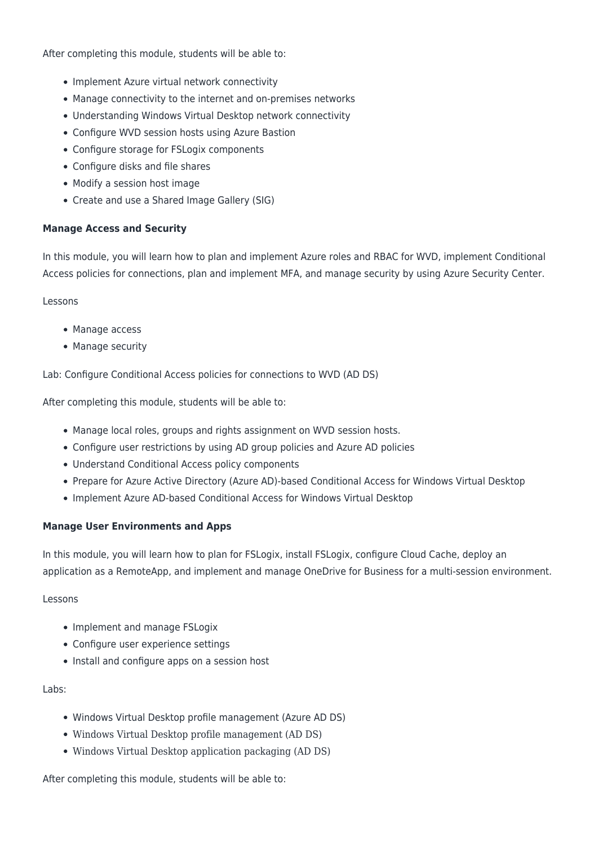After completing this module, students will be able to:

- Implement Azure virtual network connectivity
- Manage connectivity to the internet and on-premises networks
- Understanding Windows Virtual Desktop network connectivity
- Configure WVD session hosts using Azure Bastion
- Configure storage for FSLogix components
- Configure disks and file shares
- Modify a session host image
- Create and use a Shared Image Gallery (SIG)

#### **Manage Access and Security**

In this module, you will learn how to plan and implement Azure roles and RBAC for WVD, implement Conditional Access policies for connections, plan and implement MFA, and manage security by using Azure Security Center.

#### Lessons

- Manage access
- Manage security

Lab: Configure Conditional Access policies for connections to WVD (AD DS)

After completing this module, students will be able to:

- Manage local roles, groups and rights assignment on WVD session hosts.
- Configure user restrictions by using AD group policies and Azure AD policies
- Understand Conditional Access policy components
- Prepare for Azure Active Directory (Azure AD)-based Conditional Access for Windows Virtual Desktop
- Implement Azure AD-based Conditional Access for Windows Virtual Desktop

#### **Manage User Environments and Apps**

In this module, you will learn how to plan for FSLogix, install FSLogix, configure Cloud Cache, deploy an application as a RemoteApp, and implement and manage OneDrive for Business for a multi-session environment.

#### Lessons

- Implement and manage FSLogix
- Configure user experience settings
- Install and configure apps on a session host

#### Labs:

- Windows Virtual Desktop profile management (Azure AD DS)
- Windows Virtual Desktop profile management (AD DS)
- Windows Virtual Desktop application packaging (AD DS)

After completing this module, students will be able to: